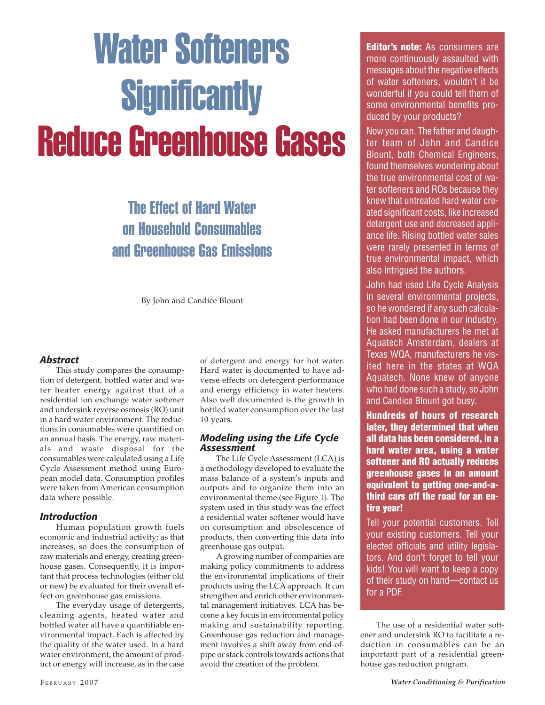# Water Softeners **Significantly** Reduce Greenhouse Gases

## The Effect of Hard Water on Household Consumables and Greenhouse Gas Emissions

By John and Candice Blount

#### *Abstract*

This study compares the consumption of detergent, bottled water and water heater energy against that of a residential ion exchange water softener and undersink reverse osmosis (RO) unit in a hard water environment. The reductions in consumables were quantified on an annual basis. The energy, raw materials and waste disposal for the consumables were calculated using a Life Cycle Assessment method using European model data. Consumption profiles were taken from American consumption data where possible.

#### *Introduction*

Human population growth fuels economic and industrial activity; as that increases, so does the consumption of raw materials and energy, creating greenhouse gases. Consequently, it is important that process technologies (either old or new) be evaluated for their overall effect on greenhouse gas emissions.

The everyday usage of detergents, cleaning agents, heated water and bottled water all have a quantifiable environmental impact. Each is affected by the quality of the water used. In a hard water environment, the amount of product or energy will increase, as in the case of detergent and energy for hot water. Hard water is documented to have adverse effects on detergent performance and energy efficiency in water heaters. Also well documented is the growth in bottled water consumption over the last 10 years.

#### *Modeling using the Life Cycle Assessment*

The Life Cycle Assessment (LCA) is a methodology developed to evaluate the mass balance of a system's inputs and outputs and to organize them into an environmental theme (see Figure 1). The system used in this study was the effect a residential water softener would have on consumption and obsolescence of products, then converting this data into greenhouse gas output.

A growing number of companies are making policy commitments to address the environmental implications of their products using the LCA approach. It can strengthen and enrich other environmental management initiatives. LCA has become a key focus in environmental policy making and sustainability reporting. Greenhouse gas reduction and management involves a shift away from end-ofpipe or stack controls towards actions that avoid the creation of the problem.

**Editor's note:** As consumers are more continuously assaulted with messages about the negative effects of water softeners, wouldn't it be wonderful if you could tell them of some environmental benefits produced by your products?

Now you can. The father and daughter team of John and Candice Blount, both Chemical Engineers, found themselves wondering about the true environmental cost of water softeners and ROs because they knew that untreated hard water created significant costs, like increased detergent use and decreased appliance life. Rising bottled water sales were rarely presented in terms of true environmental impact, which also intrigued the authors.

John had used Life Cycle Analysis in several environmental projects, so he wondered if any such calculation had been done in our industry. He asked manufacturers he met at Aquatech Amsterdam, dealers at Texas WQA, manufacturers he visited here in the states at WQA Aquatech. None knew of anyone who had done such a study, so John and Candice Blount got busy.

**Hundreds of hours of research later, they determined that when all data has been considered, in a hard water area, using a water softener and RO actually reduces greenhouse gases in an amount equivalent to getting one-and-athird cars off the road for an entire year!**

Tell your potential customers. Tell your existing customers. Tell your elected officials and utility legislators. And don't forget to tell your kids! You will want to keep a copy of their study on hand—contact us for a PDF.

The use of a residential water softener and undersink RO to facilitate a reduction in consumables can be an important part of a residential greenhouse gas reduction program.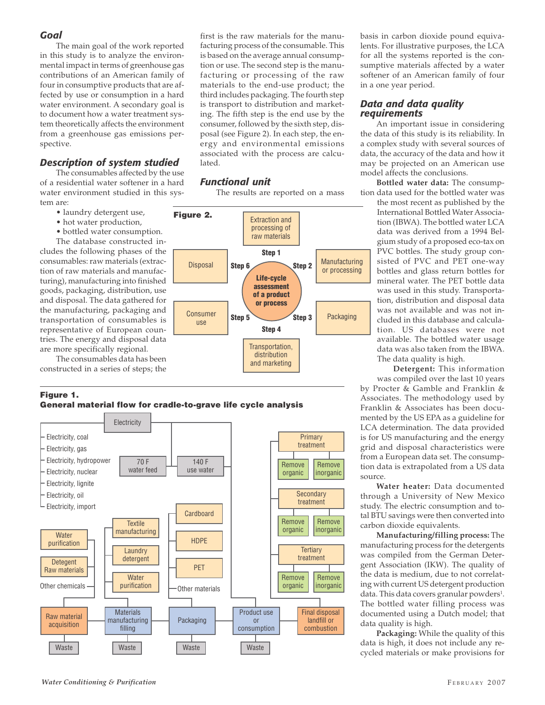#### *Goal*

The main goal of the work reported in this study is to analyze the environmental impact in terms of greenhouse gas contributions of an American family of four in consumptive products that are affected by use or consumption in a hard water environment. A secondary goal is to document how a water treatment system theoretically affects the environment from a greenhouse gas emissions perspective.

#### *Description of system studied*

The consumables affected by the use of a residential water softener in a hard water environment studied in this system are:

- laundry detergent use,
- hot water production,
- bottled water consumption.

The database constructed includes the following phases of the consumables: raw materials (extraction of raw materials and manufacturing), manufacturing into finished goods, packaging, distribution, use and disposal. The data gathered for the manufacturing, packaging and transportation of consumables is representative of European countries. The energy and disposal data are more specifically regional.

The consumables data has been constructed in a series of steps; the

#### **Figure 1. General material flow for cradle-to-grave life cycle analysis**



first is the raw materials for the manufacturing process of the consumable. This is based on the average annual consumption or use. The second step is the manufacturing or processing of the raw materials to the end-use product; the third includes packaging. The fourth step is transport to distribution and marketing. The fifth step is the end use by the consumer, followed by the sixth step, disposal (see Figure 2). In each step, the energy and environmental emissions associated with the process are calculated.

#### *Functional unit*

The results are reported on a mass



basis in carbon dioxide pound equivalents. For illustrative purposes, the LCA for all the systems reported is the consumptive materials affected by a water softener of an American family of four in a one year period.

#### *Data and data quality requirements*

An important issue in considering the data of this study is its reliability. In a complex study with several sources of data, the accuracy of the data and how it may be projected on an American use model affects the conclusions.

**Bottled water data:** The consumption data used for the bottled water was

the most recent as published by the International Bottled Water Association (IBWA). The bottled water LCA data was derived from a 1994 Belgium study of a proposed eco-tax on PVC bottles. The study group consisted of PVC and PET one-way bottles and glass return bottles for mineral water. The PET bottle data was used in this study. Transportation, distribution and disposal data was not available and was not included in this database and calculation. US databases were not available. The bottled water usage data was also taken from the IBWA. The data quality is high.

**Detergent:** This information was compiled over the last 10 years by Procter & Gamble and Franklin & Associates. The methodology used by Franklin & Associates has been documented by the US EPA as a guideline for LCA determination. The data provided is for US manufacturing and the energy grid and disposal characteristics were from a European data set. The consumption data is extrapolated from a US data source.

**Water heater:** Data documented through a University of New Mexico study. The electric consumption and total BTU savings were then converted into carbon dioxide equivalents.

**Manufacturing/filling process:** The manufacturing process for the detergents was compiled from the German Detergent Association (IKW). The quality of the data is medium, due to not correlating with current US detergent production data. This data covers granular powders<sup>1</sup>. The bottled water filling process was documented using a Dutch model; that data quality is high.

**Packaging:** While the quality of this data is high, it does not include any recycled materials or make provisions for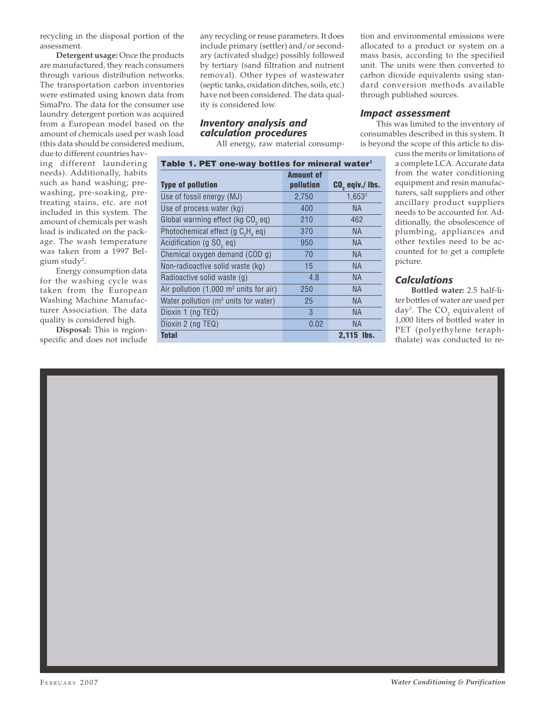recycling in the disposal portion of the assessment.

**Detergent usage:** Once the products are manufactured, they reach consumers through various distribution networks. The transportation carbon inventories were estimated using known data from SimaPro. The data for the consumer use laundry detergent portion was acquired from a European model based on the amount of chemicals used per wash load (this data should be considered medium,

due to different countries having different laundering needs). Additionally, habits such as hand washing; prewashing, pre-soaking, pretreating stains, etc. are not included in this system. The amount of chemicals per wash load is indicated on the package. The wash temperature was taken from a 1997 Belgium study<sup>2</sup>.

Energy consumption data for the washing cycle was taken from the European Washing Machine Manufacturer Association. The data quality is considered high.

**Disposal:** This is regionspecific and does not include any recycling or reuse parameters. It does include primary (settler) and/or secondary (activated sludge) possibly followed by tertiary (sand filtration and nutrient removal). Other types of wastewater (septic tanks, oxidation ditches, soils, etc.) have not been considered. The data quality is considered low.

#### *Inventory analysis and calculation procedures*

All energy, raw material consump-

|  |  | Table 1. PET one-way bottles for mineral water <sup>1</sup> |  |  |
|--|--|-------------------------------------------------------------|--|--|
|--|--|-------------------------------------------------------------|--|--|

| <b>Type of pollution</b>                                  | <b>Amount of</b><br>pollution | CO <sub>2</sub> eqiv./ lbs. |
|-----------------------------------------------------------|-------------------------------|-----------------------------|
| Use of fossil energy (MJ)                                 | 2,750                         | 1,653 <sup>2</sup>          |
| Use of process water (kg)                                 | 400                           | <b>NA</b>                   |
| Global warming effect (kg CO <sub>2</sub> eq)             | 210                           | 462                         |
| Photochemical effect (g $C_2H_4$ eq)                      | 370                           | <b>NA</b>                   |
| Acidification (g SO <sub>2</sub> eq)                      | 950                           | <b>NA</b>                   |
| Chemical oxygen demand (COD g)                            | 70                            | NA.                         |
| Non-radioactive solid waste (kg)                          | 15                            | <b>NA</b>                   |
| Radioactive solid waste (g)                               | 4.8                           | <b>NA</b>                   |
| Air pollution $(1,000 \text{ m}^3 \text{ units}$ for air) | 250                           | <b>NA</b>                   |
| Water pollution (m <sup>3</sup> units for water)          | 25                            | NA.                         |
| Dioxin 1 (ng TEQ)                                         | 3                             | <b>NA</b>                   |
| Dioxin 2 (ng TEQ)                                         | 0.02                          | <b>NA</b>                   |
| <b>Total</b>                                              |                               | $2.115$ lbs.                |

tion and environmental emissions were allocated to a product or system on a mass basis, according to the specified unit. The units were then converted to carbon dioxide equivalents using standard conversion methods available through published sources.

#### *Impact assessment*

This was limited to the inventory of consumables described in this system. It is beyond the scope of this article to dis-

cuss the merits or limitations of a complete LCA. Accurate data from the water conditioning equipment and resin manufacturers, salt suppliers and other ancillary product suppliers needs to be accounted for. Additionally, the obsolescence of plumbing, appliances and other textiles need to be accounted for to get a complete picture.

#### *Calculations*

**Bottled water:** 2.5 half-liter bottles of water are used per day<sup>3</sup>. The  $\mathsf{CO}_2$  equivalent of 1,000 liters of bottled water in PET (polyethylene teraphthalate) was conducted to re-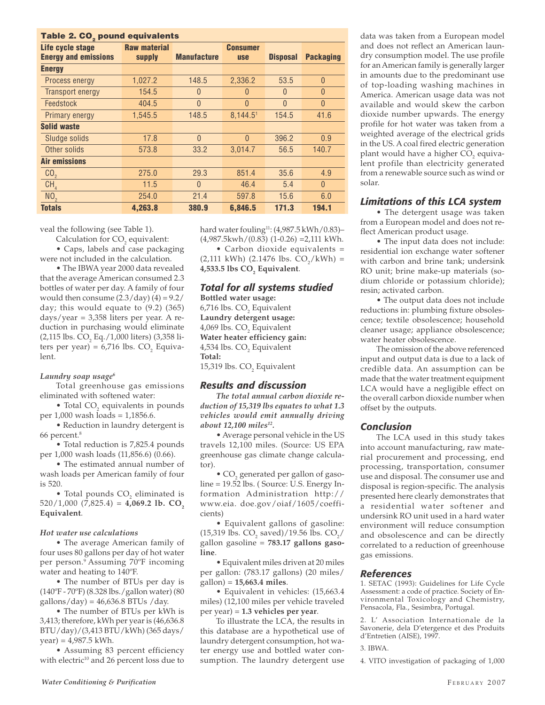| Table 2. CO <sub>2</sub> pound equivalents |                     |                    |                 |                 |                  |  |  |  |  |
|--------------------------------------------|---------------------|--------------------|-----------------|-----------------|------------------|--|--|--|--|
| Life cycle stage                           | <b>Raw material</b> |                    | <b>Consumer</b> |                 |                  |  |  |  |  |
| <b>Energy and emissions</b>                | supply              | <b>Manufacture</b> | <b>use</b>      | <b>Disposal</b> | <b>Packaging</b> |  |  |  |  |
| <b>Energy</b>                              |                     |                    |                 |                 |                  |  |  |  |  |
| Process energy                             | 1,027.2             | 148.5              | 2,336.2         | 53.5            | $\overline{0}$   |  |  |  |  |
| <b>Transport energy</b>                    | 154.5               | $\theta$           | $\theta$        | $\theta$        | $\theta$         |  |  |  |  |
| Feedstock                                  | 404.5               | $\theta$           | $\theta$        | $\Omega$        | $\Omega$         |  |  |  |  |
| Primary energy                             | 1.545.5             | 148.5              | 8.144.51        | 154.5           | 41.6             |  |  |  |  |
| <b>Solid waste</b>                         |                     |                    |                 |                 |                  |  |  |  |  |
| Sludge solids                              | 17.8                | $\Omega$           | $\Omega$        | 396.2           | 0.9              |  |  |  |  |
| Other solids                               | 573.8               | 33.2               | 3.014.7         | 56.5            | 140.7            |  |  |  |  |
| <b>Air emissions</b>                       |                     |                    |                 |                 |                  |  |  |  |  |
| CO <sub>2</sub>                            | 275.0               | 29.3               | 851.4           | 35.6            | 4.9              |  |  |  |  |
| CH <sub>4</sub>                            | 11.5                | $\Omega$           | 46.4            | 5.4             | $\theta$         |  |  |  |  |
| NO <sub>2</sub>                            | 254.0               | 21.4               | 597.8           | 15.6            | 6.0              |  |  |  |  |
| <b>Totals</b>                              | 4.263.8             | 380.9              | 6.846.5         | 171.3           | 194.1            |  |  |  |  |

veal the following (see Table 1).

Calculation for  $\text{CO}_2$  equivalent: • Caps, labels and case packaging

were not included in the calculation.

• The IBWA year 2000 data revealed that the average American consumed 2.3 bottles of water per day. A family of four would then consume  $(2.3/day)$   $(4) = 9.2/$ day; this would equate to (9.2) (365) days/year = 3,358 liters per year. A reduction in purchasing would eliminate  $(2,115 \text{ lbs. CO}_2 \text{ Eq.}/1,000 \text{ liters})$  (3,358 liters per year) = 6,716 lbs.  $CO<sub>2</sub>$  Equivalent.

#### *Laundry soap usage6*

Total greenhouse gas emissions eliminated with softened water:

• Total  $CO<sub>2</sub>$  equivalents in pounds per 1,000 wash loads = 1,1856.6.

• Reduction in laundry detergent is 66 percent.8

• Total reduction is 7,825.4 pounds per 1,000 wash loads (11,856.6) (0.66).

• The estimated annual number of wash loads per American family of four is 520.

• Total pounds  $CO<sub>2</sub>$  eliminated is  $520/1,000$   $(7,825.4) = 4,069.2$  lb. CO<sub>2</sub> **Equivalent**.

#### *Hot water use calculations*

• The average American family of four uses 80 gallons per day of hot water per person.9 Assuming 70ºF incoming water and heating to 140ºF.

• The number of BTUs per day is (140ºF - 70ºF) (8.328 lbs./gallon water) (80  $\text{gallons/day} = 46,636.8 \text{ BTUs / day.}$ 

• The number of BTUs per kWh is 3,413; therefore, kWh per year is (46,636.8 BTU/day)/(3,413 BTU/kWh) (365 days/  $year) = 4,987.5$  kWh.

• Assuming 83 percent efficiency with electric<sup>10</sup> and 26 percent loss due to hard water fouling<sup>11</sup>: (4,987.5 kWh/0.83)- $(4,987.5kwh/(0.83) (1-0.26) = 2,111 kWh$ .

• Carbon dioxide equivalents =  $(2,111 \text{ kWh})$   $(2.1476 \text{ lbs. CO}_2/\text{kWh}) =$ 4,533.5 lbs  $\text{CO}_\text{2}$  Equivalent.

#### *Total for all systems studied*

**Bottled water usage:** 6,716 lbs.  $\text{CO}_2$  Equivalent **Laundry detergent usage:** 4,069 lbs.  $\text{CO}_2$  Equivalent **Water heater efficiency gain:** 4,534 lbs.  $\text{CO}_2$  Equivalent **Total:** 15,319 lbs.  $CO<sub>2</sub>$  Equivalent

#### *Results and discussion*

*The total annual carbon dioxide reduction of 15,319 lbs equates to what 1.3 vehicles would emit annually driving about 12,100 miles12.*

• Average personal vehicle in the US travels 12,100 miles. (Source: US EPA greenhouse gas climate change calculator).

 $\bullet$  CO<sub>2</sub> generated per gallon of gasoline = 19.52 lbs. ( Source: U.S. Energy Information Administration http:// www.eia. doe.gov/oiaf/1605/coefficients)

• Equivalent gallons of gasoline: (15,319 lbs.  $CO_2$  saved)/19.56 lbs.  $CO_2$ / gallon gasoline = **783.17 gallons gasoline**.

• Equivalent miles driven at 20 miles per gallon: (783.17 gallons) (20 miles/ gallon) = **15,663.4 miles**.

• Equivalent in vehicles: (15,663.4 miles) (12,100 miles per vehicle traveled per year) = **1.3 vehicles per year**.

To illustrate the LCA, the results in this database are a hypothetical use of laundry detergent consumption, hot water energy use and bottled water consumption. The laundry detergent use

data was taken from a European model and does not reflect an American laundry consumption model. The use profile for an American family is generally larger in amounts due to the predominant use of top-loading washing machines in America. American usage data was not available and would skew the carbon dioxide number upwards. The energy profile for hot water was taken from a weighted average of the electrical grids in the US. A coal fired electric generation plant would have a higher  $\mathrm{CO}_2^{}$  equivalent profile than electricity generated from a renewable source such as wind or solar.

#### *Limitations of this LCA system*

• The detergent usage was taken from a European model and does not reflect American product usage.

• The input data does not include: residential ion exchange water softener with carbon and brine tank; undersink RO unit; brine make-up materials (sodium chloride or potassium chloride); resin; activated carbon.

• The output data does not include reductions in: plumbing fixture obsolescence; textile obsolescence; household cleaner usage; appliance obsolescence; water heater obsolescence.

The omission of the above referenced input and output data is due to a lack of credible data. An assumption can be made that the water treatment equipment LCA would have a negligible effect on the overall carbon dioxide number when offset by the outputs.

#### *Conclusion*

The LCA used in this study takes into account manufacturing, raw material procurement and processing, end processing, transportation, consumer use and disposal. The consumer use and disposal is region-specific. The analysis presented here clearly demonstrates that a residential water softener and undersink RO unit used in a hard water environment will reduce consumption and obsolescence and can be directly correlated to a reduction of greenhouse gas emissions.

#### *References*

1. SETAC (1993): Guidelines for Life Cycle Assessment: a code of practice. Society of Environmental Toxicology and Chemistry, Pensacola, Fla., Sesimbra, Portugal.

2. L' Association Internationale de la Savonerie, dela D'etergence et des Produits d'Entretien (AISE), 1997.

#### 3. IBWA.

4. VITO investigation of packaging of 1,000